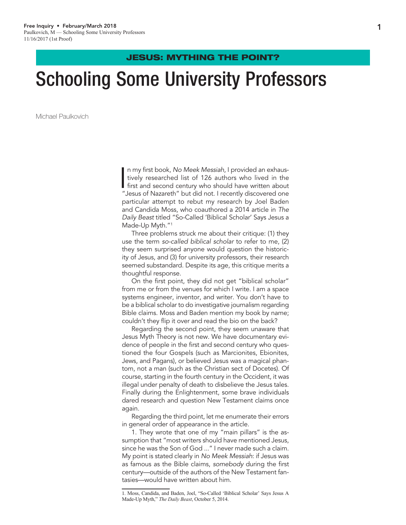### JESUS: MYTHING THE POINT?

# Schooling Some University Professors

Michael Paulkovich

I n my first book, *No Meek Messiah*, I provided an exhaustively researched list of 126 authors who lived in the first and second century who should have written about "Jesus of Nazareth" but did not. I recently discovered one particular attempt to rebut my research by Joel Baden and Candida Moss, who coauthored a 2014 article in *The Daily Beast* titled "So-Called 'Biblical Scholar' Says Jesus a Made-Up Myth."<sup>1</sup>

Three problems struck me about their critique: (1) they use the term *so-called biblical scholar* to refer to me, (2) they seem surprised anyone would question the historicity of Jesus, and (3) for university professors, their research seemed substandard. Despite its age, this critique merits a thoughtful response.

On the first point, they did not get "biblical scholar" from me or from the venues for which I write. I am a space systems engineer, inventor, and writer. You don't have to be a biblical scholar to do investigative journalism regarding Bible claims. Moss and Baden mention my book by name; couldn't they flip it over and read the bio on the back?

Regarding the second point, they seem unaware that Jesus Myth Theory is not new. We have documentary evidence of people in the first and second century who questioned the four Gospels (such as Marcionites, Ebionites, Jews, and Pagans), or believed Jesus was a magical phantom, not a man (such as the Christian sect of Docetes). Of course, starting in the fourth century in the Occident, it was illegal under penalty of death to disbelieve the Jesus tales. Finally during the Enlightenment, some brave individuals dared research and question New Testament claims once again.

Regarding the third point, let me enumerate their errors in general order of appearance in the article.

1. They wrote that one of my "main pillars" is the assumption that "most writers should have mentioned Jesus, since he was the Son of God ..." I never made such a claim. My point is stated clearly in *No Meek Messiah*: if Jesus was as famous as the Bible claims, *somebody* during the first century—outside of the authors of the New Testament fantasies—would have written about him.

<sup>1</sup>. Moss, Candida, and Baden, Joel, "So-Called 'Biblical Scholar' Says Jesus A Made-Up Myth," *The Daily Beast*, October 5, 2014.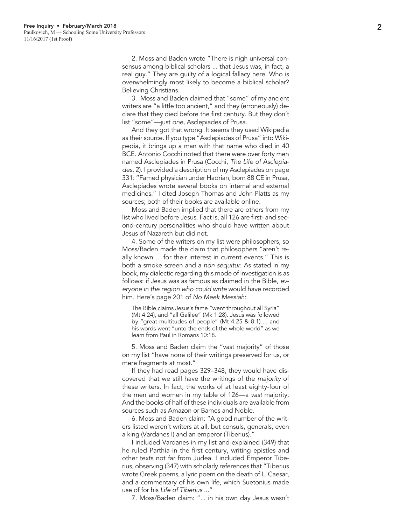2. Moss and Baden wrote "There is nigh universal con sensus among biblical scholars ... that Jesus was, in fact, a real guy." They are guilty of a logical fallacy here. Who is overwhelmingly most likely to become a biblical scholar? Believing Christians.

3. Moss and Baden claimed that "some" of my ancient writers are "a little too ancient," and they (erroneously) de clare that they died before the first century. But they don't list "some"—just *one*, Asclepiades of Prusa.

And they got that wrong. It seems they used Wikipedia as their source. If you type "Asclepiades of Prusa" into Wiki pedia, it brings up a man with that name who died in 40 BCE. Antonio Cocchi noted that there were over forty men named Asclepiades in Prusa (Cocchi, *The Life of Asclepia des*, 2). I provided a description of my Asclepiades on page 331: "Famed physician under Hadrian, born 88 CE in Prusa, Asclepiades wrote several books on internal and external medicines." I cited Joseph Thomas and John Platts as my sources; both of their books are available online.

Moss and Baden implied that there are others from my list who lived before Jesus. Fact is, all 126 are first- and sec ond-century personalities who should have written about Jesus of Nazareth but did not.

4. Some of the writers on my list were philosophers, so Moss/Baden made the claim that philosophers "aren't re ally known ... for their interest in current events." This is both a smoke screen and a *non sequitur*. As stated in my book, my dialectic regarding this mode of investigation is as follows: if Jesus was as famous as claimed in the Bible, *ev eryone in the region who could write* would have recorded him. Here's page 201 of *No Meek Messiah* :

The Bible claims Jesus's fame "went throughout all Syria" (Mt 4:24), and "all Galilee" (Mk 1:28). Jesus was followed by "great multitudes of people" (Mt 4:25 & 8:1) ... and his words went "unto the ends of the whole world" as we learn from Paul in Romans 10:18.

5. Moss and Baden claim the "vast majority" of those on my list "have none of their writings preserved for us, or mere fragments at most."

If they had read pages 329–348, they would have dis covered that we still have the writings of the *majority* of these writers. In fact, the works of at least eighty-four of the men and women in my table of 126—a *vast* majority. And the books of half of these individuals are available from sources such as Amazon or Barnes and Noble.

6. Moss and Baden claim: "A good number of the writ ers listed weren't writers at all, but consuls, generals, even a king (Vardanes I) and an emperor (Tiberius)."

I included Vardanes in my list and explained (349) that he ruled Parthia in the first century, writing epistles and other texts not far from Judea. I included Emperor Tibe rius, observing (347) with scholarly references that "Tiberius wrote Greek poems, a lyric poem on the death of L. Caesar, and a commentary of his own life, which Suetonius made use of for his *Life of Tiberius* ..."

7. Moss/Baden claim: "... in his own day Jesus wasn't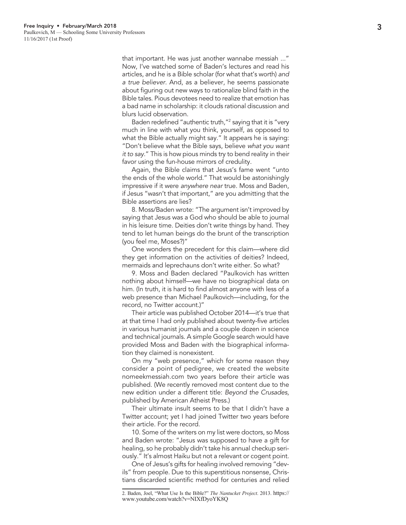that important. He was just another wannabe messiah ..." Now, I've watched some of Baden's lectures and read his articles, and he is a Bible scholar (for what that's worth) *and a true believer*. And, as a believer, he seems passionate about figuring out new ways to rationalize blind faith in the Bible tales. Pious devotees need to realize that emotion has a bad name in scholarship: it clouds rational discussion and blurs lucid observation.

Baden redefined "authentic truth,"<sup>2</sup> saying that it is "very much in line with what you think, yourself, as opposed to what the Bible actually might say." It appears he is saying: "Don't believe what the Bible says, believe *what you want it to say*." This is how pious minds try to bend reality in their favor using the fun-house mirrors of credulity.

Again, the Bible claims that Jesus's fame went "unto the ends of the whole world." That would be astonishingly impressive if it were *anywhere near* true. Moss and Baden, if Jesus "wasn't that important," are you admitting that the Bible assertions are lies?

8. Moss/Baden wrote: "The argument isn't improved by saying that Jesus was a God who should be able to journal in his leisure time. Deities don't write things by hand. They tend to let human beings do the brunt of the transcription (you feel me, Moses?)"

One wonders the precedent for this claim—where did they get information on the activities of deities? Indeed, mermaids and leprechauns don't write either. So what?

9. Moss and Baden declared "Paulkovich has written nothing about himself—we have no biographical data on him. (In truth, it is hard to find almost anyone with less of a web presence than Michael Paulkovich—including, for the record, no Twitter account.)"

Their article was published October 2014—it's true that at that time I had only published about twenty-five articles in various humanist journals and a couple dozen in science and technical journals. A simple Google search would have provided Moss and Baden with the biographical informa tion they claimed is nonexistent.

On my "web presence," which for some reason they consider a point of pedigree, we created the website nomeekmessiah.com two years before their article was published. (We recently removed most content due to the new edition under a different title: *Beyond the Crusades*, published by American Atheist Press.)

Their ultimate insult seems to be that I didn't have a Twitter account; yet I had joined Twitter two years before their article. For the record.

10. Some of the writers on my list were doctors, so Moss and Baden wrote: "Jesus was supposed to have a gift for healing, so he probably didn't take his annual checkup seri ously." It's almost Haiku but not a relevant or cogent point.

One of Jesus's gifts for healing involved removing "dev ils" from people. Due to this superstitious nonsense, Chris tians discarded scientific method for centuries and relied

<sup>2</sup>. Baden, Joel, "What Use Is the Bible?" *The Nantucket Project*. 2013. https:// www.youtube.com/watch?v=NIXfDyoYK8Q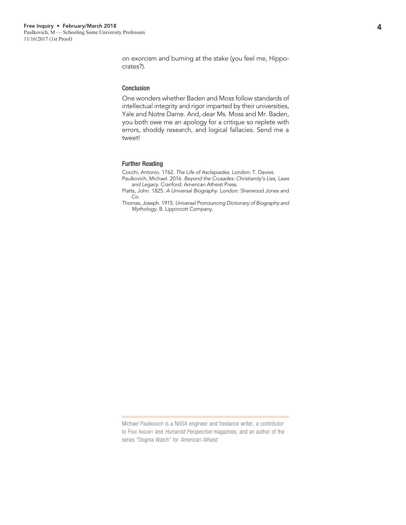on exorcism and burning at the stake (you feel me, Hippocrates?).

#### Conclusion

One wonders whether Baden and Moss follow standards of intellectual integrity and rigor imparted by their universities, Yale and Notre Dame. And, dear Ms. Moss and Mr. Baden, you both owe me an apology for a critique so replete with errors, shoddy research, and logical fallacies. Send me a tweet!

#### Further Reading

Cocchi, Antonio. 1762. *The Life of Asclepiades*. London: T. Davies.

Paulkovich, Michael. 2016. *Beyond the Crusades: Christianity's Lies, Laws and Legacy*. Cranford: American Atheist Press.

Platts, John. 1825. *A Universal Biography*. London: Sherwood Jones and Co.

Thomas, Joseph. 1915. *Universal Pronouncing Dictionary of Biography and Mythology*. B. Lippincott Company.

Michael Paulkovich is a NASA engineer and freelance writer, a contributor to Free Inquiry and *Humanist Perspective* magazines, and an author of the series "Dogma Watch" for *American Atheist*.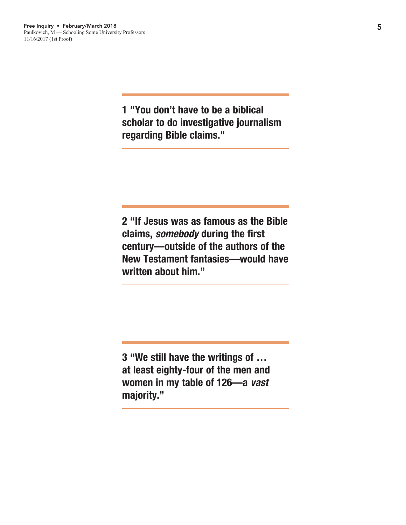1 "You don't have to be a biblical scholar to do investigative journalism regarding Bible claims."

2 "If Jesus was as famous as the Bible claims, *somebody* during the first century—outside of the authors of the New Testament fantasies—would have written about him."

3 "We still have the writings of … at least eighty-four of the men and women in my table of 126—a *vast* majority."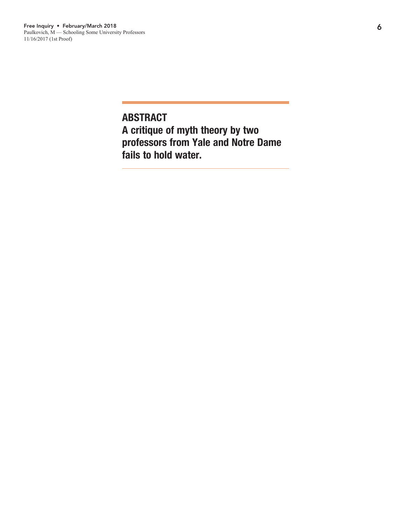ABSTRACT A critique of myth theory by two professors from Yale and Notre Dame fails to hold water.